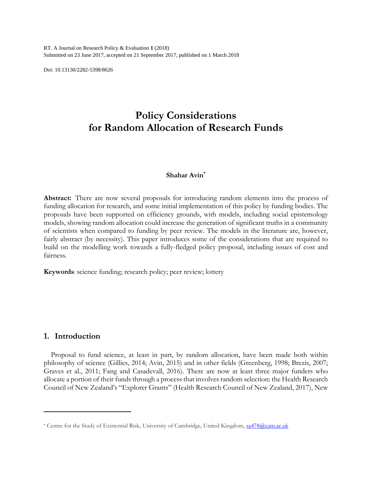RT. A Journal on Research Policy & Evaluation **1** (2018) Submitted on 23 June 2017, accepted on 21 September 2017, published on 1 March 2018

Doi: 10.13130/2282-5398/8626

# **Policy Considerations for Random Allocation of Research Funds**

## **Shahar Avin\***

**Abstract:** There are now several proposals for introducing random elements into the process of funding allocation for research, and some initial implementation of this policy by funding bodies. The proposals have been supported on efficiency grounds, with models, including social epistemology models, showing random allocation could increase the generation of significant truths in a community of scientists when compared to funding by peer review. The models in the literature are, however, fairly abstract (by necessity). This paper introduces some of the considerations that are required to build on the modelling work towards a fully-fledged policy proposal, including issues of cost and fairness.

**Keywords**: science funding; research policy; peer review; lottery

## **1. Introduction**

 $\overline{\phantom{a}}$ 

Proposal to fund science, at least in part, by random allocation, have been made both within philosophy of science (Gillies, 2014; Avin, 2015) and in other fields (Greenberg, 1998; Brezis, 2007; Graves et al., 2011; Fang and Casadevall, 2016). There are now at least three major funders who allocate a portion of their funds through a process that involves random selection: the Health Research Council of New Zealand's "Explorer Grants" (Health Research Council of New Zealand, 2017), New

<sup>\*</sup> Centre for the Study of Existential Risk, University of Cambridge, United Kingdom, [sa478@cam.ac.uk](mailto:sa478@cam.ac.uk)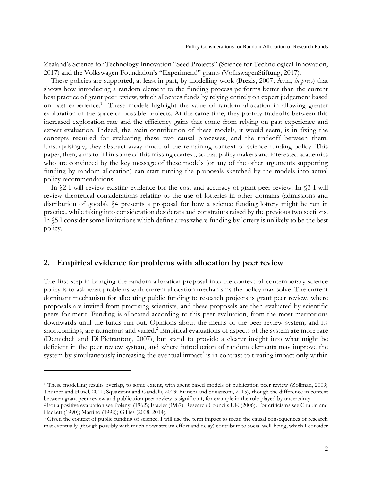Zealand's Science for Technology Innovation "Seed Projects" (Science for Technological Innovation, 2017) and the Volkswagen Foundation's "Experiment!" grants (VolkswagenStiftung, 2017).

These policies are supported, at least in part, by modelling work (Brezis, 2007; Avin, *in press*) that shows how introducing a random element to the funding process performs better than the current best practice of grant peer review, which allocates funds by relying entirely on expert judgement based on past experience.<sup>1</sup> These models highlight the value of random allocation in allowing greater exploration of the space of possible projects. At the same time, they portray tradeoffs between this increased exploration rate and the efficiency gains that come from relying on past experience and expert evaluation. Indeed, the main contribution of these models, it would seem, is in fixing the concepts required for evaluating these two causal processes, and the tradeoff between them. Unsurprisingly, they abstract away much of the remaining context of science funding policy. This paper, then, aims to fill in some of this missing context, so that policy makers and interested academics who are convinced by the key message of these models (or any of the other arguments supporting funding by random allocation) can start turning the proposals sketched by the models into actual policy recommendations.

In §2 I will review existing evidence for the cost and accuracy of grant peer review. In §3 I will review theoretical considerations relating to the use of lotteries in other domains (admissions and distribution of goods). §4 presents a proposal for how a science funding lottery might be run in practice, while taking into consideration desiderata and constraints raised by the previous two sections. In §5 I consider some limitations which define areas where funding by lottery is unlikely to be the best policy.

## **2. Empirical evidence for problems with allocation by peer review**

 $\overline{\phantom{a}}$ 

The first step in bringing the random allocation proposal into the context of contemporary science policy is to ask what problems with current allocation mechanisms the policy may solve. The current dominant mechanism for allocating public funding to research projects is grant peer review, where proposals are invited from practising scientists, and these proposals are then evaluated by scientific peers for merit. Funding is allocated according to this peer evaluation, from the most meritorious downwards until the funds run out. Opinions about the merits of the peer review system, and its shortcomings, are numerous and varied.<sup>2</sup> Empirical evaluations of aspects of the system are more rare (Demicheli and Di Pietrantonj, 2007), but stand to provide a clearer insight into what might be deficient in the peer review system, and where introduction of random elements may improve the system by simultaneously increasing the eventual impact<sup>3</sup> is in contrast to treating impact only within

<sup>&</sup>lt;sup>1</sup> These modelling results overlap, to some extent, with agent based models of publication peer review (Zollman, 2009; Thurner and Hanel, 2011; Squazzoni and Gandelli, 2013; Bianchi and Squazzoni, 2015), though the difference in context between grant peer review and publication peer review is significant, for example in the role played by uncertainty.

<sup>2</sup> For a positive evaluation see Polanyi (1962); Frazier (1987); Research Councils UK (2006). For criticisms see Chubin and Hackett (1990); Martino (1992); Gillies (2008, 2014).

<sup>3</sup> Given the context of public funding of science, I will use the term impact to mean the causal consequences of research that eventually (though possibly with much downstream effort and delay) contribute to social well-being, which I consider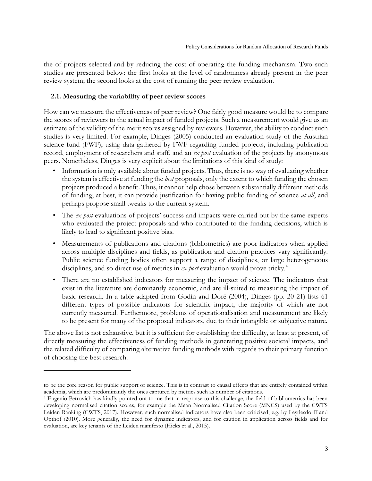the of projects selected and by reducing the cost of operating the funding mechanism. Two such studies are presented below: the first looks at the level of randomness already present in the peer review system; the second looks at the cost of running the peer review evaluation.

## **2.1. Measuring the variability of peer review scores**

 $\overline{\phantom{a}}$ 

How can we measure the effectiveness of peer review? One fairly good measure would be to compare the scores of reviewers to the actual impact of funded projects. Such a measurement would give us an estimate of the validity of the merit scores assigned by reviewers. However, the ability to conduct such studies is very limited. For example, Dinges (2005) conducted an evaluation study of the Austrian science fund (FWF), using data gathered by FWF regarding funded projects, including publication record, employment of researchers and staff, and an *ex post* evaluation of the projects by anonymous peers. Nonetheless, Dinges is very explicit about the limitations of this kind of study:

- Information is only available about funded projects. Thus, there is no way of evaluating whether the system is effective at funding the *best* proposals, only the extent to which funding the chosen projects produced a benefit. Thus, it cannot help chose between substantially different methods of funding; at best, it can provide justification for having public funding of science *at all*, and perhaps propose small tweaks to the current system.
- The *ex post* evaluations of projects' success and impacts were carried out by the same experts who evaluated the project proposals and who contributed to the funding decisions, which is likely to lead to significant positive bias.
- Measurements of publications and citations (bibliometrics) are poor indicators when applied across multiple disciplines and fields, as publication and citation practices vary significantly. Public science funding bodies often support a range of disciplines, or large heterogeneous disciplines, and so direct use of metrics in *ex post* evaluation would prove tricky.<sup>4</sup>
- There are no established indicators for measuring the impact of science. The indicators that exist in the literature are dominantly economic, and are ill-suited to measuring the impact of basic research. In a table adapted from Godin and Doré (2004), Dinges (pp. 20-21) lists 61 different types of possible indicators for scientific impact, the majority of which are not currently measured. Furthermore, problems of operationalisation and measurement are likely to be present for many of the proposed indicators, due to their intangible or subjective nature.

The above list is not exhaustive, but it is sufficient for establishing the difficulty, at least at present, of directly measuring the effectiveness of funding methods in generating positive societal impacts, and the related difficulty of comparing alternative funding methods with regards to their primary function of choosing the best research.

to be the core reason for public support of science. This is in contrast to causal effects that are entirely contained within academia, which are predominantly the ones captured by metrics such as number of citations.

<sup>4</sup> Eugenio Petrovich has kindly pointed out to me that in response to this challenge, the field of bibliometrics has been developing normalised citation scores, for example the Mean Normalised Citation Score (MNCS) used by the CWTS Leiden Ranking (CWTS, 2017). However, such normalised indicators have also been criticised, e.g. by Leydesdorff and Opthof (2010). More generally, the need for dynamic indicators, and for caution in application across fields and for evaluation, are key tenants of the Leiden manifesto (Hicks et al., 2015).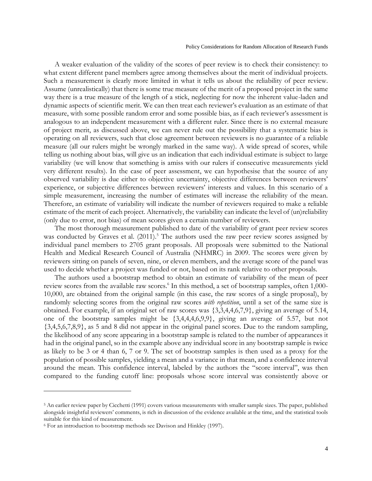A weaker evaluation of the validity of the scores of peer review is to check their consistency: to what extent different panel members agree among themselves about the merit of individual projects. Such a measurement is clearly more limited in what it tells us about the reliability of peer review. Assume (unrealistically) that there is some true measure of the merit of a proposed project in the same way there is a true measure of the length of a stick, neglecting for now the inherent value-laden and dynamic aspects of scientific merit. We can then treat each reviewer's evaluation as an estimate of that measure, with some possible random error and some possible bias, as if each reviewer's assessment is analogous to an independent measurement with a different ruler. Since there is no external measure of project merit, as discussed above, we can never rule out the possibility that a systematic bias is operating on all reviewers, such that close agreement between reviewers is no guarantee of a reliable measure (all our rulers might be wrongly marked in the same way). A wide spread of scores, while telling us nothing about bias, will give us an indication that each individual estimate is subject to large variability (we will know that something is amiss with our rulers if consecutive measurements yield very different results). In the case of peer assessment, we can hypothesise that the source of any observed variability is due either to objective uncertainty, objective differences between reviewers' experience, or subjective differences between reviewers' interests and values. In this scenario of a simple measurement, increasing the number of estimates will increase the reliability of the mean. Therefore, an estimate of variability will indicate the number of reviewers required to make a reliable estimate of the merit of each project. Alternatively, the variability can indicate the level of (un)reliability (only due to error, not bias) of mean scores given a certain number of reviewers.

The most thorough measurement published to date of the variability of grant peer review scores was conducted by Graves et al.  $(2011).<sup>5</sup>$  The authors used the raw peer review scores assigned by individual panel members to 2705 grant proposals. All proposals were submitted to the National Health and Medical Research Council of Australia (NHMRC) in 2009. The scores were given by reviewers sitting on panels of seven, nine, or eleven members, and the average score of the panel was used to decide whether a project was funded or not, based on its rank relative to other proposals.

The authors used a bootstrap method to obtain an estimate of variability of the mean of peer review scores from the available raw scores.<sup>6</sup> In this method, a set of bootstrap samples, often 1,000-10,000, are obtained from the original sample (in this case, the raw scores of a single proposal), by randomly selecting scores from the original raw scores *with repetition*, until a set of the same size is obtained. For example, if an original set of raw scores was {3,3,4,4,6,7,9}, giving an average of 5.14, one of the bootstrap samples might be  $\{3,4,4,4,6,9,9\}$ , giving an average of 5.57, but not {3,4,5,6,7,8,9}, as 5 and 8 did not appear in the original panel scores. Due to the random sampling, the likelihood of any score appearing in a bootstrap sample is related to the number of appearances it had in the original panel, so in the example above any individual score in any bootstrap sample is twice as likely to be 3 or 4 than 6, 7 or 9. The set of bootstrap samples is then used as a proxy for the population of possible samples, yielding a mean and a variance in that mean, and a confidence interval around the mean. This confidence interval, labeled by the authors the "score interval", was then compared to the funding cutoff line: proposals whose score interval was consistently above or

 $\overline{\phantom{a}}$ 

<sup>5</sup> An earlier review paper by Cicchetti (1991) covers various measurements with smaller sample sizes. The paper, published alongside insightful reviewers' comments, is rich in discussion of the evidence available at the time, and the statistical tools suitable for this kind of measurement.

<sup>6</sup> For an introduction to bootstrap methods see Davison and Hinkley (1997).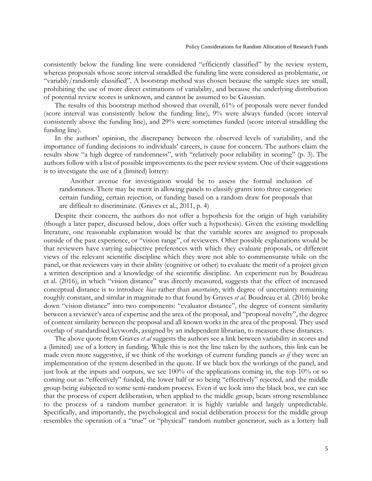consistently below the funding line were considered "efficiently classified" by the review system, whereas proposals whose score interval straddled the funding line were considered as problematic, or "variably/randomly classified". A bootstrap method was chosen because the sample sizes are small, prohibiting the use of more direct estimations of variability, and because the underlying distribution of potential review scores is unknown, and cannot be assumed to be Gaussian.

The results of this bootstrap method showed that overall, 61% of proposals were never funded (score interval was consistently below the funding line), 9% were always funded (score interval consistently above the funding line), and 29% were sometimes funded (score interval straddling the funding line).

In the authors' opinion, the discrepancy between the observed levels of variability, and the importance of funding decisions to individuals' careers, is cause for concern. The authors claim the results show "a high degree of randomness", with "relatively poor reliability in scoring" (p. 3). The authors follow with a list of possible improvements to the peer review system. One of their suggestions is to investigate the use of a (limited) lottery:

Another avenue for investigation would be to assess the formal inclusion of randomness. There may be merit in allowing panels to classify grants into three categories: certain funding, certain rejection, or funding based on a random draw for proposals that are difficult to discriminate. (Graves et al., 2011, p. 4)

Despite their concern, the authors do not offer a hypothesis for the origin of high variability (though a later paper, discussed below, does offer such a hypothesis). Given the existing modelling literature, one reasonable explanation would be that the variable scores are assigned to proposals outside of the past experience, or "vision range", of reviewers. Other possible explanations would be that reviewers have varying subjective preferences with which they evaluate proposals, or different views of the relevant scientific discipline which they were not able to commensurate while on the panel, or that reviewers vary in their ability (cognitive or other) to evaluate the merit of a project given a written description and a knowledge of the scientific discipline. An experiment run by Boudreau et al. (2016), in which "vision distance" was directly measured, suggests that the effect of increased conceptual distance is to introduce *bias* rather than *uncertainty*, with degree of uncertainty remaining roughly constant, and similar in magnitude to that found by Graves *et al*. Boudreau et al. (2016) broke down "vision distance" into two components: "evaluator distance", the degree of content similarity between a reviewer's area of expertise and the area of the proposal, and "proposal novelty", the degree of content similarity between the proposal and all known works in the area of the proposal. They used overlap of standardised keywords, assigned by an independent librarian, to measure these distances.

The above quote from Graves *et al* suggests the authors see a link between variability in scores and a (limited) use of a lottery in funding. While this is not the line taken by the authors, this link can be made even more suggestive, if we think of the workings of current funding panels *as if* they were an implementation of the system described in the quote. If we black box the workings of the panel, and just look at the inputs and outputs, we see 100% of the applications coming in, the top 10% or so coming out as "effectively" funded, the lower half or so being "effectively" rejected, and the middle group being subjected to some semi-random process. Even if we look into the black box, we can see that the process of expert deliberation, when applied to the middle group, bears strong resemblance to the process of a random number generator: it is highly variable and largely unpredictable. Specifically, and importantly, the psychological and social deliberation process for the middle group resembles the operation of a "true" or "physical" random number generator, such as a lottery ball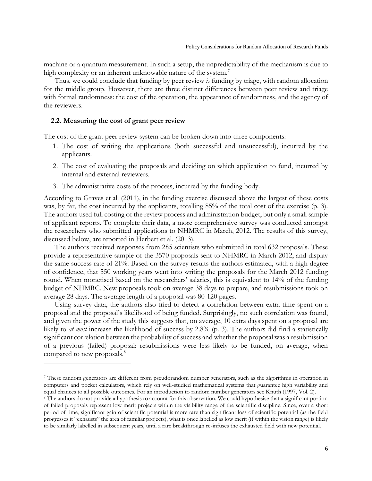machine or a quantum measurement. In such a setup, the unpredictability of the mechanism is due to high complexity or an inherent unknowable nature of the system.<sup>7</sup>

Thus, we could conclude that funding by peer review *is* funding by triage, with random allocation for the middle group. However, there are three distinct differences between peer review and triage with formal randomness: the cost of the operation, the appearance of randomness, and the agency of the reviewers.

#### **2.2. Measuring the cost of grant peer review**

 $\overline{a}$ 

The cost of the grant peer review system can be broken down into three components:

- 1. The cost of writing the applications (both successful and unsuccessful), incurred by the applicants.
- 2. The cost of evaluating the proposals and deciding on which application to fund, incurred by internal and external reviewers.
- 3. The administrative costs of the process, incurred by the funding body.

According to Graves et al. (2011), in the funding exercise discussed above the largest of these costs was, by far, the cost incurred by the applicants, totalling 85% of the total cost of the exercise (p. 3). The authors used full costing of the review process and administration budget, but only a small sample of applicant reports. To complete their data, a more comprehensive survey was conducted amongst the researchers who submitted applications to NHMRC in March, 2012. The results of this survey, discussed below, are reported in Herbert et al. (2013).

The authors received responses from 285 scientists who submitted in total 632 proposals. These provide a representative sample of the 3570 proposals sent to NHMRC in March 2012, and display the same success rate of 21%. Based on the survey results the authors estimated, with a high degree of confidence, that 550 working years went into writing the proposals for the March 2012 funding round. When monetised based on the researchers' salaries, this is equivalent to 14% of the funding budget of NHMRC. New proposals took on average 38 days to prepare, and resubmissions took on average 28 days. The average length of a proposal was 80-120 pages.

Using survey data, the authors also tried to detect a correlation between extra time spent on a proposal and the proposal's likelihood of being funded. Surprisingly, no such correlation was found, and given the power of the study this suggests that, on average, 10 extra days spent on a proposal are likely to *at most* increase the likelihood of success by 2.8% (p. 3). The authors did find a statistically significant correlation between the probability of success and whether the proposal was a resubmission of a previous (failed) proposal: resubmissions were less likely to be funded, on average, when compared to new proposals.<sup>8</sup>

<sup>7</sup> These random generators are different from pseudorandom number generators, such as the algorithms in operation in computers and pocket calculators, which rely on well-studied mathematical systems that guarantee high variability and equal chances to all possible outcomes. For an introduction to random number generators see Knuth (1997, Vol. 2).

<sup>8</sup> The authors do not provide a hypothesis to account for this observation. We could hypothesise that a significant portion of failed proposals represent low merit projects within the visibility range of the scientific discipline. Since, over a short period of time, significant gain of scientific potential is more rare than significant loss of scientific potential (as the field progresses it "exhausts" the area of familiar projects), what is once labelled as low merit (if within the vision range) is likely to be similarly labelled in subsequent years, until a rare breakthrough re-infuses the exhausted field with new potential.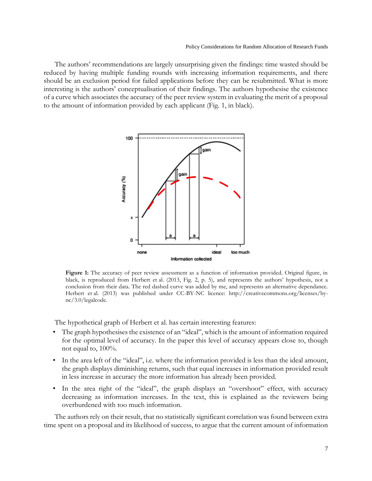The authors' recommendations are largely unsurprising given the findings: time wasted should be reduced by having multiple funding rounds with increasing information requirements, and there should be an exclusion period for failed applications before they can be resubmitted. What is more interesting is the authors' conceptualisation of their findings. The authors hypothesise the existence of a curve which associates the accuracy of the peer review system in evaluating the merit of a proposal to the amount of information provided by each applicant (Fig. 1, in black).



Figure 1: The accuracy of peer review assessment as a function of information provided. Original figure, in black, is reproduced from Herbert et al. (2013, Fig. 2, p. 5), and represents the authors' hypothesis, not a conclusion from their data. The red dashed curve was added by me, and represents an alternative dependance. Herbert et al. (2013) was published under CC-BY-NC licence: [http://creativecommons.org/licenses/by](http://creativecommons.org/licenses/by-nc/3.0/legalcode)[nc/3.0/legalcode.](http://creativecommons.org/licenses/by-nc/3.0/legalcode)

The hypothetical graph of Herbert et al. has certain interesting features:

- The graph hypothesises the existence of an "ideal", which is the amount of information required for the optimal level of accuracy. In the paper this level of accuracy appears close to, though not equal to,  $100\%$ .
- In the area left of the "ideal", i.e. where the information provided is less than the ideal amount, the graph displays diminishing returns, such that equal increases in information provided result in less increase in accuracy the more information has already been provided.
- In the area right of the "ideal", the graph displays an "overshoot" effect, with accuracy decreasing as information increases. In the text, this is explained as the reviewers being overburdened with too much information.

The authors rely on their result, that no statistically significant correlation was found between extra time spent on a proposal and its likelihood of success, to argue that the current amount of information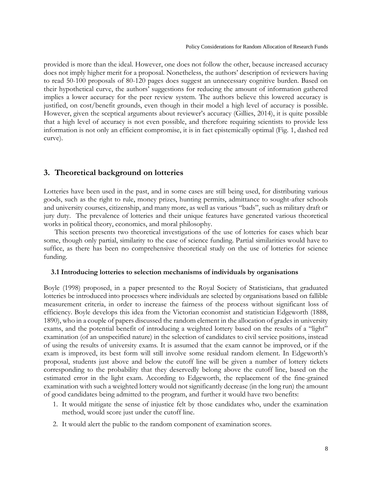provided is more than the ideal. However, one does not follow the other, because increased accuracy does not imply higher merit for a proposal. Nonetheless, the authors' description of reviewers having to read 50-100 proposals of 80-120 pages does suggest an unnecessary cognitive burden. Based on their hypothetical curve, the authors' suggestions for reducing the amount of information gathered implies a lower accuracy for the peer review system. The authors believe this lowered accuracy is justified, on cost/benefit grounds, even though in their model a high level of accuracy is possible. However, given the sceptical arguments about reviewer's accuracy (Gillies, 2014), it is quite possible that a high level of accuracy is not even possible, and therefore requiring scientists to provide less information is not only an efficient compromise, it is in fact epistemically optimal (Fig. 1, dashed red curve).

# **3. Theoretical background on lotteries**

Lotteries have been used in the past, and in some cases are still being used, for distributing various goods, such as the right to rule, money prizes, hunting permits, admittance to sought-after schools and university courses, citizenship, and many more, as well as various "bads", such as military draft or jury duty. The prevalence of lotteries and their unique features have generated various theoretical works in political theory, economics, and moral philosophy.

This section presents two theoretical investigations of the use of lotteries for cases which bear some, though only partial, similarity to the case of science funding. Partial similarities would have to suffice, as there has been no comprehensive theoretical study on the use of lotteries for science funding.

## **3.1 Introducing lotteries to selection mechanisms of individuals by organisations**

Boyle (1998) proposed, in a paper presented to the Royal Society of Statisticians, that graduated lotteries be introduced into processes where individuals are selected by organisations based on fallible measurement criteria, in order to increase the fairness of the process without significant loss of efficiency. Boyle develops this idea from the Victorian economist and statistician Edgeworth (1888, 1890), who in a couple of papers discussed the random element in the allocation of grades in university exams, and the potential benefit of introducing a weighted lottery based on the results of a "light" examination (of an unspecified nature) in the selection of candidates to civil service positions, instead of using the results of university exams. It is assumed that the exam cannot be improved, or if the exam is improved, its best form will still involve some residual random element. In Edgeworth's proposal, students just above and below the cutoff line will be given a number of lottery tickets corresponding to the probability that they deservedly belong above the cutoff line, based on the estimated error in the light exam. According to Edgeworth, the replacement of the fine-grained examination with such a weighted lottery would not significantly decrease (in the long run) the amount of good candidates being admitted to the program, and further it would have two benefits:

- 1. It would mitigate the sense of injustice felt by those candidates who, under the examination method, would score just under the cutoff line.
- 2. It would alert the public to the random component of examination scores.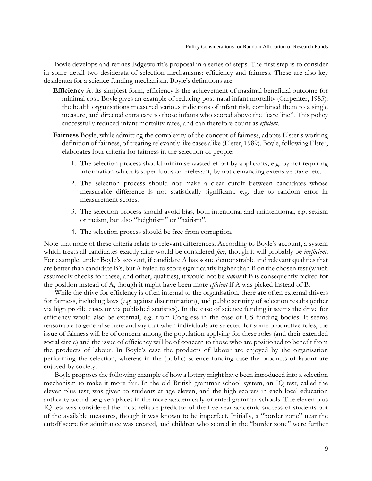Boyle develops and refines Edgeworth's proposal in a series of steps. The first step is to consider in some detail two desiderata of selection mechanisms: efficiency and fairness. These are also key desiderata for a science funding mechanism. Boyle's definitions are:

- **Efficiency** At its simplest form, efficiency is the achievement of maximal beneficial outcome for minimal cost. Boyle gives an example of reducing post-natal infant mortality (Carpenter, 1983): the health organisations measured various indicators of infant risk, combined them to a single measure, and directed extra care to those infants who scored above the "care line". This policy successfully reduced infant mortality rates, and can therefore count as *efficient*.
- **Fairness** Boyle, while admitting the complexity of the concept of fairness, adopts Elster's working definition of fairness, of treating relevantly like cases alike (Elster, 1989). Boyle, following Elster, elaborates four criteria for fairness in the selection of people:
	- 1. The selection process should minimise wasted effort by applicants, e.g. by not requiring information which is superfluous or irrelevant, by not demanding extensive travel etc.
	- 2. The selection process should not make a clear cutoff between candidates whose measurable difference is not statistically significant, e.g. due to random error in measurement scores.
	- 3. The selection process should avoid bias, both intentional and unintentional, e.g. sexism or racism, but also "heightism" or "hairism".
	- 4. The selection process should be free from corruption.

Note that none of these criteria relate to relevant differences; According to Boyle's account, a system which treats all candidates exactly alike would be considered *fair*, though it will probably be *inefficient*. For example, under Boyle's account, if candidate A has some demonstrable and relevant qualities that are better than candidate B's, but A failed to score significantly higher than B on the chosen test (which assumedly checks for these, and other, qualities), it would not be *unfair* if B is consequently picked for the position instead of A, though it might have been more *efficient* if A was picked instead of B.

While the drive for efficiency is often internal to the organisation, there are often external drivers for fairness, including laws (e.g. against discrimination), and public scrutiny of selection results (either via high profile cases or via published statistics). In the case of science funding it seems the drive for efficiency would also be external, e.g. from Congress in the case of US funding bodies. It seems reasonable to generalise here and say that when individuals are selected for some productive roles, the issue of fairness will be of concern among the population applying for these roles (and their extended social circle) and the issue of efficiency will be of concern to those who are positioned to benefit from the products of labour. In Boyle's case the products of labour are enjoyed by the organisation performing the selection, whereas in the (public) science funding case the products of labour are enjoyed by society.

Boyle proposes the following example of how a lottery might have been introduced into a selection mechanism to make it more fair. In the old British grammar school system, an IQ test, called the eleven plus test, was given to students at age eleven, and the high scorers in each local education authority would be given places in the more academically-oriented grammar schools. The eleven plus IQ test was considered the most reliable predictor of the five-year academic success of students out of the available measures, though it was known to be imperfect. Initially, a "border zone" near the cutoff score for admittance was created, and children who scored in the "border zone" were further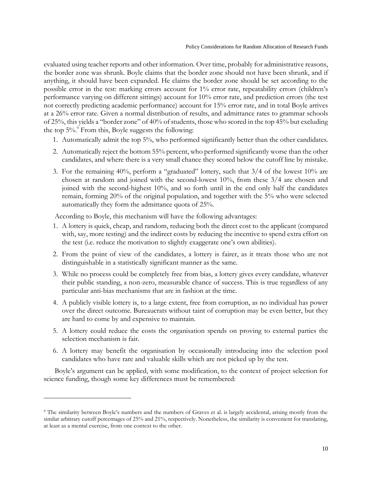evaluated using teacher reports and other information. Over time, probably for administrative reasons, the border zone was shrunk. Boyle claims that the border zone should not have been shrunk, and if anything, it should have been expanded. He claims the border zone should be set according to the possible error in the test: marking errors account for 1% error rate, repeatability errors (children's performance varying on different sittings) account for 10% error rate, and prediction errors (the test not correctly predicting academic performance) account for 15% error rate, and in total Boyle arrives at a 26% error rate. Given a normal distribution of results, and admittance rates to grammar schools of 25%, this yields a "border zone" of 40% of students, those who scored in the top 45% but excluding the top  $5\%$ . From this, Boyle suggests the following:

- 1. Automatically admit the top 5%, who performed significantly better than the other candidates.
- 2. Automatically reject the bottom 55% percent, who performed significantly worse than the other candidates, and where there is a very small chance they scored below the cutoff line by mistake.
- 3. For the remaining 40%, perform a "graduated" lottery, such that 3/4 of the lowest 10% are chosen at random and joined with the second-lowest 10%, from these 3/4 are chosen and joined with the second-highest 10%, and so forth until in the end only half the candidates remain, forming 20% of the original population, and together with the 5% who were selected automatically they form the admittance quota of 25%.

According to Boyle, this mechanism will have the following advantages:

- 1. A lottery is quick, cheap, and random, reducing both the direct cost to the applicant (compared with, say, more testing) and the indirect costs by reducing the incentive to spend extra effort on the test (i.e. reduce the motivation to slightly exaggerate one's own abilities).
- 2. From the point of view of the candidates, a lottery is fairer, as it treats those who are not distinguishable in a statistically significant manner as the same.
- 3. While no process could be completely free from bias, a lottery gives every candidate, whatever their public standing, a non-zero, measurable chance of success. This is true regardless of any particular anti-bias mechanisms that are in fashion at the time.
- 4. A publicly visible lottery is, to a large extent, free from corruption, as no individual has power over the direct outcome. Bureaucrats without taint of corruption may be even better, but they are hard to come by and expensive to maintain.
- 5. A lottery could reduce the costs the organisation spends on proving to external parties the selection mechanism is fair.
- 6. A lottery may benefit the organisation by occasionally introducing into the selection pool candidates who have rare and valuable skills which are not picked up by the test.

Boyle's argument can be applied, with some modification, to the context of project selection for science funding, though some key differences must be remembered:

 $\overline{\phantom{a}}$ 

<sup>&</sup>lt;sup>9</sup> The similarity between Boyle's numbers and the numbers of Graves et al. is largely accidental, arising mostly from the similar arbitrary cutoff percentages of 25% and 21%, respectively. Nonetheless, the similarity is convenient for translating, at least as a mental exercise, from one context to the other.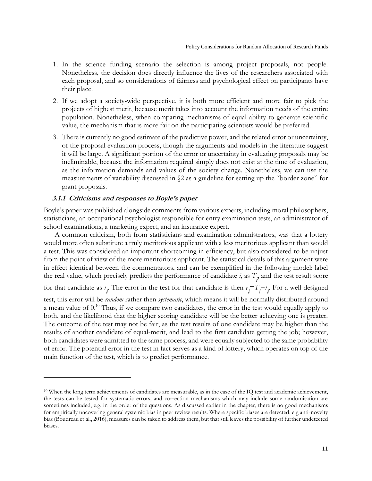- 1. In the science funding scenario the selection is among project proposals, not people. Nonetheless, the decision does directly influence the lives of the researchers associated with each proposal, and so considerations of fairness and psychological effect on participants have their place.
- 2. If we adopt a society-wide perspective, it is both more efficient and more fair to pick the projects of highest merit, because merit takes into account the information needs of the entire population. Nonetheless, when comparing mechanisms of equal ability to generate scientific value, the mechanism that is more fair on the participating scientists would be preferred.
- 3. There is currently no good estimate of the predictive power, and the related error or uncertainty, of the proposal evaluation process, though the arguments and models in the literature suggest it will be large. A significant portion of the error or uncertainty in evaluating proposals may be ineliminable, because the information required simply does not exist at the time of evaluation, as the information demands and values of the society change. Nonetheless, we can use the measurements of variability discussed in §2 as a guideline for setting up the "border zone" for grant proposals.

## **3.1.1 Criticisms and responses to Boyle's paper**

 $\overline{\phantom{a}}$ 

Boyle's paper was published alongside comments from various experts, including moral philosophers, statisticians, an occupational psychologist responsible for entry examination tests, an administrator of school examinations, a marketing expert, and an insurance expert.

A common criticism, both from statisticians and examination administrators, was that a lottery would more often substitute a truly meritorious applicant with a less meritorious applicant than would a test. This was considered an important shortcoming in efficiency, but also considered to be unjust from the point of view of the more meritorious applicant. The statistical details of this argument were in effect identical between the commentators, and can be exemplified in the following model: label the real value, which precisely predicts the performance of candidate  $i$ , as  $T_i$  and the test result score for that candidate as  $t_i$ . The error in the test for that candidate is then  $e_i = T_i - t_i$ . For a well-designed test, this error will be *random* rather then *systematic*, which means it will be normally distributed around a mean value of  $0.10$  Thus, if we compare two candidates, the error in the test would equally apply to both, and the likelihood that the higher scoring candidate will be the better achieving one is greater. The outcome of the test may not be fair, as the test results of one candidate may be higher than the results of another candidate of equal-merit, and lead to the first candidate getting the job; however, both candidates were admitted to the same process, and were equally subjected to the same probability of error. The potential error in the test in fact serves as a kind of lottery, which operates on top of the main function of the test, which is to predict performance.

<sup>10</sup> When the long term achievements of candidates are measurable, as in the case of the IQ test and academic achievement, the tests can be tested for systematic errors, and correction mechanisms which may include some randomisation are sometimes included, e.g. in the order of the questions. As discussed earlier in the chapter, there is no good mechanisms for empirically uncovering general systemic bias in peer review results. Where specific biases are detected, e.g anti-novelty bias (Boudreau et al., 2016), measures can be taken to address them, but that still leaves the possibility of further undetected biases.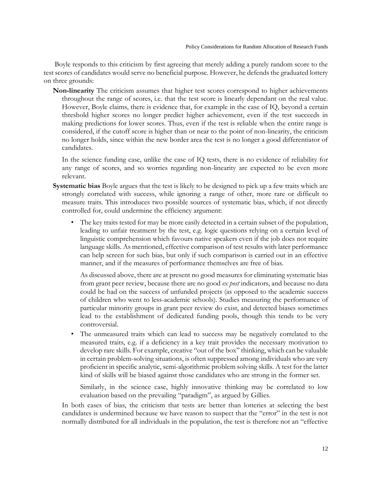Boyle responds to this criticism by first agreeing that merely adding a purely random score to the test scores of candidates would serve no beneficial purpose. However, he defends the graduated lottery on three grounds:

**Non-linearity** The criticism assumes that higher test scores correspond to higher achievements throughout the range of scores, i.e. that the test score is linearly dependant on the real value. However, Boyle claims, there is evidence that, for example in the case of IQ, beyond a certain threshold higher scores no longer predict higher achievement, even if the test succeeds in making predictions for lower scores. Thus, even if the test is reliable when the entire range is considered, if the cutoff score is higher than or near to the point of non-linearity, the criticism no longer holds, since within the new border area the test is no longer a good differentiator of candidates.

In the science funding case, unlike the case of IQ tests, there is no evidence of reliability for any range of scores, and so worries regarding non-linearity are expected to be even more relevant.

- **Systematic bias** Boyle argues that the test is likely to be designed to pick up a few traits which are strongly correlated with success, while ignoring a range of other, more rare or difficult to measure traits. This introduces two possible sources of systematic bias, which, if not directly controlled for, could undermine the efficiency argument:
	- The key traits tested for may be more easily detected in a certain subset of the population, leading to unfair treatment by the test, e.g. logic questions relying on a certain level of linguistic comprehension which favours native speakers even if the job does not require language skills. As mentioned, effective comparison of test results with later performance can help screen for such bias, but only if such comparison is carried out in an effective manner, and if the measures of performance themselves are free of bias.

As discussed above, there are at present no good measures for eliminating systematic bias from grant peer review, because there are no good *ex post* indicators, and because no data could be had on the success of unfunded projects (as opposed to the academic success of children who went to less-academic schools). Studies measuring the performance of particular minority groups in grant peer review do exist, and detected biases sometimes lead to the establishment of dedicated funding pools, though this tends to be very controversial.

• The unmeasured traits which can lead to success may be negatively correlated to the measured traits, e.g. if a deficiency in a key trait provides the necessary motivation to develop rare skills. For example, creative "out of the box" thinking, which can be valuable in certain problem-solving situations, is often suppressed among individuals who are very proficient in specific analytic, semi-algorithmic problem solving skills. A test for the latter kind of skills will be biased against those candidates who are strong in the former set.

Similarly, in the science case, highly innovative thinking may be correlated to low evaluation based on the prevailing "paradigm", as argued by Gillies.

In both cases of bias, the criticism that tests are better than lotteries at selecting the best candidates is undermined because we have reason to suspect that the "error" in the test is not normally distributed for all individuals in the population, the test is therefore not an "effective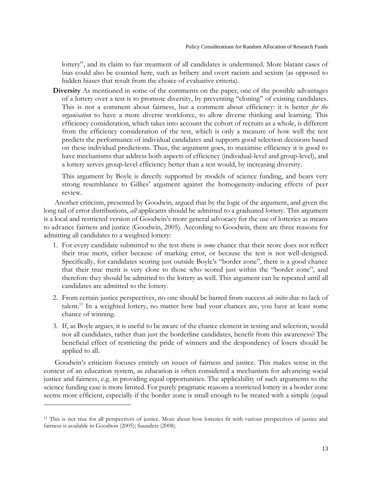lottery", and its claim to fair treatment of all candidates is undermined. More blatant cases of bias could also be counted here, such as bribery and overt racism and sexism (as opposed to hidden biases that result from the choice of evaluative criteria).

**Diversity** As mentioned in some of the comments on the paper, one of the possible advantages of a lottery over a test is to promote diversity, by preventing "cloning" of existing candidates. This is not a comment about fairness, but a comment about efficiency: it is better *for the organisation* to have a more diverse workforce, to allow diverse thinking and learning. This efficiency consideration, which takes into account the cohort of recruits as a whole, is different from the efficiency consideration of the test, which is only a measure of how well the test predicts the performance of individual candidates and supports good selection decisions based on these individual predictions. Thus, the argument goes, to maximise efficiency it is good to have mechanisms that address both aspects of efficiency (individual-level and group-level), and a lottery serves group-level efficiency better than a test would, by increasing diversity.

This argument by Boyle is directly supported by models of science funding, and bears very strong resemblance to Gillies' argument against the homogeneity-inducing effects of peer review.

Another criticism, presented by Goodwin, argued that by the logic of the argument, and given the long tail of error distributions, *all* applicants should be admitted to a graduated lottery. This argument is a local and restricted version of Goodwin's more general advocacy for the use of lotteries as means to advance fairness and justice (Goodwin, 2005). According to Goodwin, there are three reasons for admitting all candidates to a weighted lottery:

- 1. For every candidate submitted to the test there is *some* chance that their score does not reflect their true merit, either because of marking error, or because the test is not well-designed. Specifically, for candidates scoring just outside Boyle's "border zone", there is a good chance that their true merit is very close to those who scored just within the "border zone", and therefore they should be admitted to the lottery as well. This argument can be repeated until all candidates are admitted to the lottery.
- 2. From certain justice perspectives, no one should be barred from success *ab initio* due to lack of talent.<sup>11</sup> In a weighted lottery, no matter how bad your chances are, you have at least some chance of winning.
- 3. If, as Boyle argues, it is useful to be aware of the chance element in testing and selection, would not all candidates, rather than just the borderline candidates, benefit from this awareness? The beneficial effect of restricting the pride of winners and the despondency of losers should be applied to all.

Goodwin's criticism focuses entirely on issues of fairness and justice. This makes sense in the context of an education system, as education is often considered a mechanism for advancing social justice and fairness, e.g. in providing equal opportunities. The applicability of such arguments to the science funding case is more limited. For purely pragmatic reasons a restricted lottery in a border zone seems more efficient, especially if the border zone is small enough to be treated with a simple (equal

 $\overline{\phantom{a}}$ 

<sup>11</sup> This is not true for all perspectives of justice. More about how lotteries fit with various perspectives of justice and fairness is available in Goodwin (2005); Saunders (2008).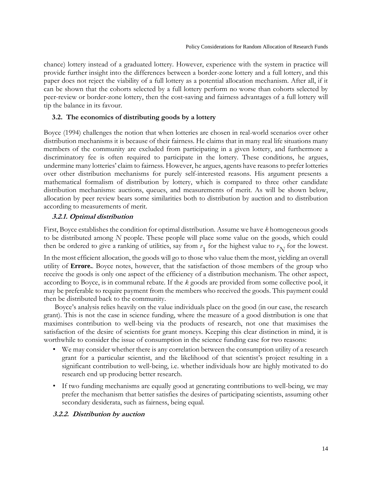chance) lottery instead of a graduated lottery. However, experience with the system in practice will provide further insight into the differences between a border-zone lottery and a full lottery, and this paper does not reject the viability of a full lottery as a potential allocation mechanism. After all, if it can be shown that the cohorts selected by a full lottery perform no worse than cohorts selected by peer-review or border-zone lottery, then the cost-saving and fairness advantages of a full lottery will tip the balance in its favour.

#### **3.2. The economics of distributing goods by a lottery**

Boyce (1994) challenges the notion that when lotteries are chosen in real-world scenarios over other distribution mechanisms it is because of their fairness. He claims that in many real life situations many members of the community are excluded from participating in a given lottery, and furthermore a discriminatory fee is often required to participate in the lottery. These conditions, he argues, undermine many lotteries' claim to fairness. However, he argues, agents have reasons to prefer lotteries over other distribution mechanisms for purely self-interested reasons. His argument presents a mathematical formalism of distribution by lottery, which is compared to three other candidate distribution mechanisms: auctions, queues, and measurements of merit. As will be shown below, allocation by peer review bears some similarities both to distribution by auction and to distribution according to measurements of merit.

## **3.2.1. Optimal distribution**

First, Boyce establishes the condition for optimal distribution. Assume we have *k* homogeneous goods to be distributed among *N* people. These people will place some value on the goods, which could then be ordered to give a ranking of utilities, say from  $v_1$  for the highest value to  $v_N$  for the lowest.

In the most efficient allocation, the goods will go to those who value them the most, yielding an overall utility of **Errore.**. Boyce notes, however, that the satisfaction of those members of the group who receive the goods is only one aspect of the efficiency of a distribution mechanism. The other aspect, according to Boyce, is in communal rebate. If the *k* goods are provided from some collective pool, it may be preferable to require payment from the members who received the goods. This payment could then be distributed back to the community.

Boyce's analysis relies heavily on the value individuals place on the good (in our case, the research grant). This is not the case in science funding, where the measure of a good distribution is one that maximises contribution to well-being via the products of research, not one that maximises the satisfaction of the desire of scientists for grant moneys. Keeping this clear distinction in mind, it is worthwhile to consider the issue of consumption in the science funding case for two reasons:

- We may consider whether there is any correlation between the consumption utility of a research grant for a particular scientist, and the likelihood of that scientist's project resulting in a significant contribution to well-being, i.e. whether individuals how are highly motivated to do research end up producing better research.
- If two funding mechanisms are equally good at generating contributions to well-being, we may prefer the mechanism that better satisfies the desires of participating scientists, assuming other secondary desiderata, such as fairness, being equal.

## **3.2.2. Distribution by auction**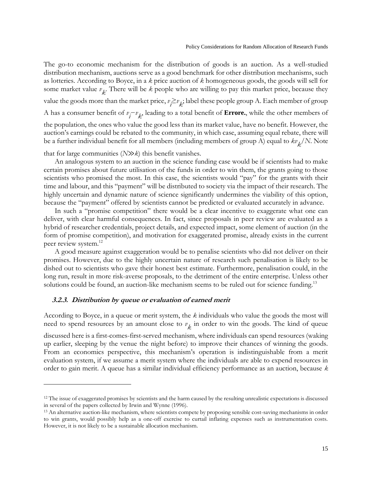The go-to economic mechanism for the distribution of goods is an auction. As a well-studied distribution mechanism, auctions serve as a good benchmark for other distribution mechanisms, such as lotteries. According to Boyce, in a *k* price auction of *k* homogeneous goods, the goods will sell for some market value  $v_k$ . There will be  $k$  people who are willing to pay this market price, because they value the goods more than the market price,  $v_i \ge v_k$ ; label these people group A. Each member of group A has a consumer benefit of  $v_i - v_k$ , leading to a total benefit of **Errore.**, while the other members of the population, the ones who value the good less than its market value, have no benefit. However, the auction's earnings could be rebated to the community, in which case, assuming equal rebate, there will be a further individual benefit for all members (including members of group A) equal to  $k\nu_{\not k} /N$ . Note

that for large communities (*N*≫*k*) this benefit vanishes.

An analogous system to an auction in the science funding case would be if scientists had to make certain promises about future utilisation of the funds in order to win them, the grants going to those scientists who promised the most. In this case, the scientists would "pay" for the grants with their time and labour, and this "payment" will be distributed to society via the impact of their research. The highly uncertain and dynamic nature of science significantly undermines the viability of this option, because the "payment" offered by scientists cannot be predicted or evaluated accurately in advance.

In such a "promise competition" there would be a clear incentive to exaggerate what one can deliver, with clear harmful consequences. In fact, since proposals in peer review are evaluated as a hybrid of researcher credentials, project details, and expected impact, some element of auction (in the form of promise competition), and motivation for exaggerated promise, already exists in the current peer review system.<sup>12</sup>

A good measure against exaggeration would be to penalise scientists who did not deliver on their promises. However, due to the highly uncertain nature of research such penalisation is likely to be dished out to scientists who gave their honest best estimate. Furthermore, penalisation could, in the long run, result in more risk-averse proposals, to the detriment of the entire enterprise. Unless other solutions could be found, an auction-like mechanism seems to be ruled out for science funding.<sup>13</sup>

#### **3.2.3. Distribution by queue or evaluation of earned merit**

 $\overline{\phantom{a}}$ 

According to Boyce, in a queue or merit system, the *k* individuals who value the goods the most will need to spend resources by an amount close to  $v_k$  in order to win the goods. The kind of queue

discussed here is a first-comes-first-served mechanism, where individuals can spend resources (waking up earlier, sleeping by the venue the night before) to improve their chances of winning the goods. From an economics perspective, this mechanism's operation is indistinguishable from a merit evaluation system, if we assume a merit system where the individuals are able to expend resources in order to gain merit. A queue has a similar individual efficiency performance as an auction, because *k*

<sup>&</sup>lt;sup>12</sup> The issue of exaggerated promises by scientists and the harm caused by the resulting unrealistic expectations is discussed in several of the papers collected by Irwin and Wynne (1996).

<sup>&</sup>lt;sup>13</sup> An alternative auction-like mechanism, where scientists compete by proposing sensible cost-saving mechanisms in order to win grants, would possibly help as a one-off exercise to curtail inflating expenses such as instrumentation costs. However, it is not likely to be a sustainable allocation mechanism.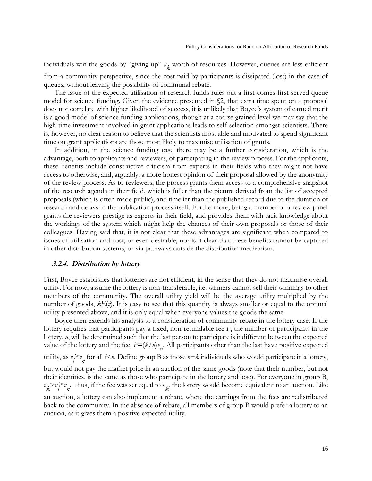individuals win the goods by "giving up" *v k* worth of resources. However, queues are less efficient from a community perspective, since the cost paid by participants is dissipated (lost) in the case of queues, without leaving the possibility of communal rebate.

The issue of the expected utilisation of research funds rules out a first-comes-first-served queue model for science funding. Given the evidence presented in §2, that extra time spent on a proposal does not correlate with higher likelihood of success, it is unlikely that Boyce's system of earned merit is a good model of science funding applications, though at a coarse grained level we may say that the high time investment involved in grant applications leads to self-selection amongst scientists. There is, however, no clear reason to believe that the scientists most able and motivated to spend significant time on grant applications are those most likely to maximise utilisation of grants.

In addition, in the science funding case there may be a further consideration, which is the advantage, both to applicants and reviewers, of participating in the review process. For the applicants, these benefits include constructive criticism from experts in their fields who they might not have access to otherwise, and, arguably, a more honest opinion of their proposal allowed by the anonymity of the review process. As to reviewers, the process grants them access to a comprehensive snapshot of the research agenda in their field, which is fuller than the picture derived from the list of accepted proposals (which is often made public), and timelier than the published record due to the duration of research and delays in the publication process itself. Furthermore, being a member of a review panel grants the reviewers prestige as experts in their field, and provides them with tacit knowledge about the workings of the system which might help the chances of their own proposals or those of their colleagues. Having said that, it is not clear that these advantages are significant when compared to issues of utilisation and cost, or even desirable, nor is it clear that these benefits cannot be captured in other distribution systems, or via pathways outside the distribution mechanism.

#### **3.2.4. Distribution by lottery**

First, Boyce establishes that lotteries are not efficient, in the sense that they do not maximise overall utility. For now, assume the lottery is non-transferable, i.e. winners cannot sell their winnings to other members of the community. The overall utility yield will be the average utility multiplied by the number of goods,  $kE(v)$ . It is easy to see that this quantity is always smaller or equal to the optimal utility presented above, and it is only equal when everyone values the goods the same.

Boyce then extends his analysis to a consideration of community rebate in the lottery case. If the lottery requires that participants pay a fixed, non-refundable fee *F*, the number of participants in the lottery, *n*, will be determined such that the last person to participate is indifferent between the expected value of the lottery and the fee,  $F=(k/n)v_{n}$ . All participants other than the last have positive expected utility, as  $v_i \ge v_n$  for all *i*<*n*. Define group B as those *n*−*k* individuals who would participate in a lottery, but would not pay the market price in an auction of the same goods (note that their number, but not their identities, is the same as those who participate in the lottery and lose). For everyone in group B,  $v_k > v_i \ge v_n$ . Thus, if the fee was set equal to  $v_k$ , the lottery would become equivalent to an auction. Like an auction, a lottery can also implement a rebate, where the earnings from the fees are redistributed back to the community. In the absence of rebate, all members of group B would prefer a lottery to an auction, as it gives them a positive expected utility.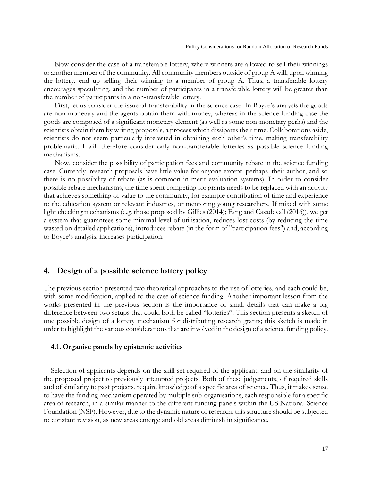Now consider the case of a transferable lottery, where winners are allowed to sell their winnings to another member of the community. All community members outside of group A will, upon winning the lottery, end up selling their winning to a member of group A. Thus, a transferable lottery encourages speculating, and the number of participants in a transferable lottery will be greater than the number of participants in a non-transferable lottery.

First, let us consider the issue of transferability in the science case. In Boyce's analysis the goods are non-monetary and the agents obtain them with money, whereas in the science funding case the goods are composed of a significant monetary element (as well as some non-monetary perks) and the scientists obtain them by writing proposals, a process which dissipates their time. Collaborations aside, scientists do not seem particularly interested in obtaining each other's time, making transferability problematic. I will therefore consider only non-transferable lotteries as possible science funding mechanisms.

Now, consider the possibility of participation fees and community rebate in the science funding case. Currently, research proposals have little value for anyone except, perhaps, their author, and so there is no possibility of rebate (as is common in merit evaluation systems). In order to consider possible rebate mechanisms, the time spent competing for grants needs to be replaced with an activity that achieves something of value to the community, for example contribution of time and experience to the education system or relevant industries, or mentoring young researchers. If mixed with some light checking mechanisms (e.g. those proposed by Gillies (2014); Fang and Casadevall (2016)), we get a system that guarantees some minimal level of utilisation, reduces lost costs (by reducing the time wasted on detailed applications), introduces rebate (in the form of "participation fees") and, according to Boyce's analysis, increases participation.

## **4. Design of a possible science lottery policy**

The previous section presented two theoretical approaches to the use of lotteries, and each could be, with some modification, applied to the case of science funding. Another important lesson from the works presented in the previous section is the importance of small details that can make a big difference between two setups that could both be called "lotteries". This section presents a sketch of one possible design of a lottery mechanism for distributing research grants; this sketch is made in order to highlight the various considerations that are involved in the design of a science funding policy.

#### **4.1. Organise panels by epistemic activities**

Selection of applicants depends on the skill set required of the applicant, and on the similarity of the proposed project to previously attempted projects. Both of these judgements, of required skills and of similarity to past projects, require knowledge of a specific area of science. Thus, it makes sense to have the funding mechanism operated by multiple sub-organisations, each responsible for a specific area of research, in a similar manner to the different funding panels within the US National Science Foundation (NSF). However, due to the dynamic nature of research, this structure should be subjected to constant revision, as new areas emerge and old areas diminish in significance.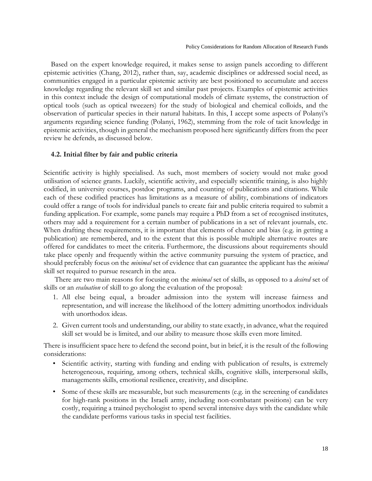Based on the expert knowledge required, it makes sense to assign panels according to different epistemic activities (Chang, 2012), rather than, say, academic disciplines or addressed social need, as communities engaged in a particular epistemic activity are best positioned to accumulate and access knowledge regarding the relevant skill set and similar past projects. Examples of epistemic activities in this context include the design of computational models of climate systems, the construction of optical tools (such as optical tweezers) for the study of biological and chemical colloids, and the observation of particular species in their natural habitats. In this, I accept some aspects of Polanyi's arguments regarding science funding (Polanyi, 1962), stemming from the role of tacit knowledge in epistemic activities, though in general the mechanism proposed here significantly differs from the peer review he defends, as discussed below.

## **4.2. Initial filter by fair and public criteria**

Scientific activity is highly specialised. As such, most members of society would not make good utilisation of science grants. Luckily, scientific activity, and especially scientific training, is also highly codified, in university courses, postdoc programs, and counting of publications and citations. While each of these codified practices has limitations as a measure of ability, combinations of indicators could offer a range of tools for individual panels to create fair and public criteria required to submit a funding application. For example, some panels may require a PhD from a set of recognised institutes, others may add a requirement for a certain number of publications in a set of relevant journals, etc. When drafting these requirements, it is important that elements of chance and bias (e.g. in getting a publication) are remembered, and to the extent that this is possible multiple alternative routes are offered for candidates to meet the criteria. Furthermore, the discussions about requirements should take place openly and frequently within the active community pursuing the system of practice, and should preferably focus on the *minimal* set of evidence that can guarantee the applicant has the *minimal* skill set required to pursue research in the area.

There are two main reasons for focusing on the *minimal* set of skills, as opposed to a *desired* set of skills or an *evaluation* of skill to go along the evaluation of the proposal:

- 1. All else being equal, a broader admission into the system will increase fairness and representation, and will increase the likelihood of the lottery admitting unorthodox individuals with unorthodox ideas.
- 2. Given current tools and understanding, our ability to state exactly, in advance, what the required skill set would be is limited, and our ability to measure those skills even more limited.

There is insufficient space here to defend the second point, but in brief, it is the result of the following considerations:

- Scientific activity, starting with funding and ending with publication of results, is extremely heterogeneous, requiring, among others, technical skills, cognitive skills, interpersonal skills, managements skills, emotional resilience, creativity, and discipline.
- Some of these skills are measurable, but such measurements (e.g. in the screening of candidates for high-rank positions in the Israeli army, including non-combatant positions) can be very costly, requiring a trained psychologist to spend several intensive days with the candidate while the candidate performs various tasks in special test facilities.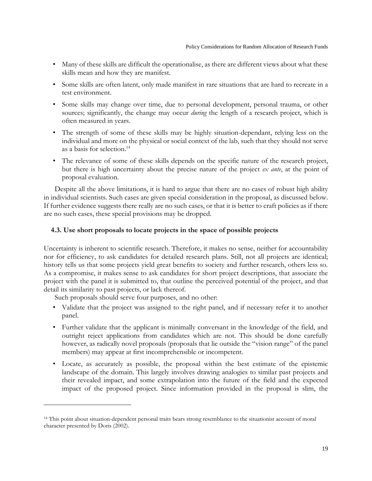- Many of these skills are difficult the operationalise, as there are different views about what these skills mean and how they are manifest.
- Some skills are often latent, only made manifest in rare situations that are hard to recreate in a test environment.
- Some skills may change over time, due to personal development, personal trauma, or other sources; significantly, the change may occur *during* the length of a research project, which is often measured in years.
- The strength of some of these skills may be highly situation-dependant, relying less on the individual and more on the physical or social context of the lab, such that they should not serve as a basis for selection.<sup>14</sup>
- The relevance of some of these skills depends on the specific nature of the research project, but there is high uncertainty about the precise nature of the project *ex ante*, at the point of proposal evaluation.

Despite all the above limitations, it is hard to argue that there are no cases of robust high ability in individual scientists. Such cases are given special consideration in the proposal, as discussed below. If further evidence suggests there really are no such cases, or that it is better to craft policies as if there are no such cases, these special provisions may be dropped.

## **4.3. Use short proposals to locate projects in the space of possible projects**

Uncertainty is inherent to scientific research. Therefore, it makes no sense, neither for accountability nor for efficiency, to ask candidates for detailed research plans. Still, not all projects are identical; history tells us that some projects yield great benefits to society and further research, others less so. As a compromise, it makes sense to ask candidates for short project descriptions, that associate the project with the panel it is submitted to, that outline the perceived potential of the project, and that detail its similarity to past projects, or lack thereof.

Such proposals should serve four purposes, and no other:

 $\overline{\phantom{a}}$ 

- Validate that the project was assigned to the right panel, and if necessary refer it to another panel.
- Further validate that the applicant is minimally conversant in the knowledge of the field, and outright reject applications from candidates which are not. This should be done carefully however, as radically novel proposals (proposals that lie outside the "vision range" of the panel members) may appear at first incomprehensible or incompetent.
- Locate, as accurately as possible, the proposal within the best estimate of the epistemic landscape of the domain. This largely involves drawing analogies to similar past projects and their revealed impact, and some extrapolation into the future of the field and the expected impact of the proposed project. Since information provided in the proposal is slim, the

<sup>14</sup> This point about situation-dependent personal traits bears strong resemblance to the situationist account of moral character presented by Doris (2002).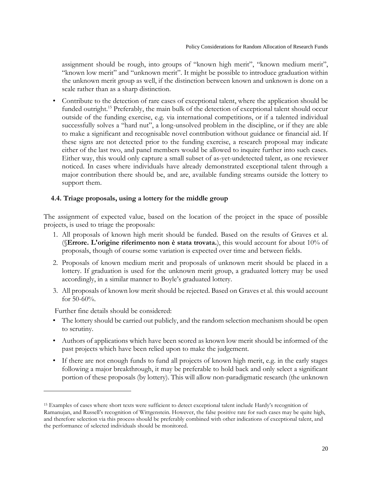assignment should be rough, into groups of "known high merit", "known medium merit", "known low merit" and "unknown merit". It might be possible to introduce graduation within the unknown merit group as well, if the distinction between known and unknown is done on a scale rather than as a sharp distinction.

• Contribute to the detection of rare cases of exceptional talent, where the application should be funded outright.<sup>15</sup> Preferably, the main bulk of the detection of exceptional talent should occur outside of the funding exercise, e.g. via international competitions, or if a talented individual successfully solves a "hard nut", a long-unsolved problem in the discipline, or if they are able to make a significant and recognisable novel contribution without guidance or financial aid. If these signs are not detected prior to the funding exercise, a research proposal may indicate either of the last two, and panel members would be allowed to inquire further into such cases. Either way, this would only capture a small subset of as-yet-undetected talent, as one reviewer noticed. In cases where individuals have already demonstrated exceptional talent through a major contribution there should be, and are, available funding streams outside the lottery to support them.

## **4.4. Triage proposals, using a lottery for the middle group**

The assignment of expected value, based on the location of the project in the space of possible projects, is used to triage the proposals:

- 1. All proposals of known high merit should be funded. Based on the results of Graves et al. (§**Errore. L'origine riferimento non è stata trovata.**), this would account for about 10% of proposals, though of course some variation is expected over time and between fields.
- 2. Proposals of known medium merit and proposals of unknown merit should be placed in a lottery. If graduation is used for the unknown merit group, a graduated lottery may be used accordingly, in a similar manner to Boyle's graduated lottery.
- 3. All proposals of known low merit should be rejected. Based on Graves et al. this would account for  $50-60%$ .

Further fine details should be considered:

 $\overline{\phantom{a}}$ 

- The lottery should be carried out publicly, and the random selection mechanism should be open to scrutiny.
- Authors of applications which have been scored as known low merit should be informed of the past projects which have been relied upon to make the judgement.
- If there are not enough funds to fund all projects of known high merit, e.g. in the early stages following a major breakthrough, it may be preferable to hold back and only select a significant portion of these proposals (by lottery). This will allow non-paradigmatic research (the unknown

<sup>15</sup> Examples of cases where short texts were sufficient to detect exceptional talent include Hardy's recognition of Ramanujan, and Russell's recognition of Wittgenstein. However, the false positive rate for such cases may be quite high, and therefore selection via this process should be preferably combined with other indications of exceptional talent, and the performance of selected individuals should be monitored.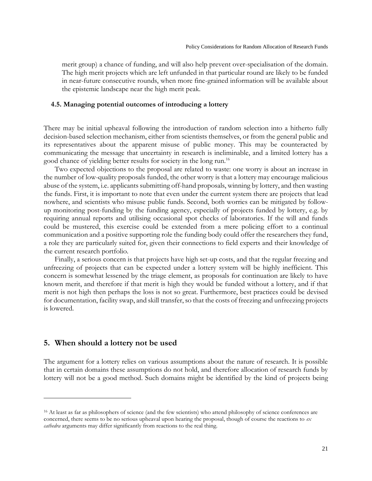merit group) a chance of funding, and will also help prevent over-specialisation of the domain. The high merit projects which are left unfunded in that particular round are likely to be funded in near-future consecutive rounds, when more fine-grained information will be available about the epistemic landscape near the high merit peak.

#### **4.5. Managing potential outcomes of introducing a lottery**

There may be initial upheaval following the introduction of random selection into a hitherto fully decision-based selection mechanism, either from scientists themselves, or from the general public and its representatives about the apparent misuse of public money. This may be counteracted by communicating the message that uncertainty in research is ineliminable, and a limited lottery has a good chance of yielding better results for society in the long run.<sup>16</sup>

Two expected objections to the proposal are related to waste: one worry is about an increase in the number of low-quality proposals funded, the other worry is that a lottery may encourage malicious abuse of the system, i.e. applicants submitting off-hand proposals, winning by lottery, and then wasting the funds. First, it is important to note that even under the current system there are projects that lead nowhere, and scientists who misuse public funds. Second, both worries can be mitigated by followup monitoring post-funding by the funding agency, especially of projects funded by lottery, e.g. by requiring annual reports and utilising occasional spot checks of laboratories. If the will and funds could be mustered, this exercise could be extended from a mere policing effort to a continual communication and a positive supporting role the funding body could offer the researchers they fund, a role they are particularly suited for, given their connections to field experts and their knowledge of the current research portfolio.

Finally, a serious concern is that projects have high set-up costs, and that the regular freezing and unfreezing of projects that can be expected under a lottery system will be highly inefficient. This concern is somewhat lessened by the triage element, as proposals for continuation are likely to have known merit, and therefore if that merit is high they would be funded without a lottery, and if that merit is not high then perhaps the loss is not so great. Furthermore, best practices could be devised for documentation, facility swap, and skill transfer, so that the costs of freezing and unfreezing projects is lowered.

#### **5. When should a lottery not be used**

 $\overline{\phantom{a}}$ 

The argument for a lottery relies on various assumptions about the nature of research. It is possible that in certain domains these assumptions do not hold, and therefore allocation of research funds by lottery will not be a good method. Such domains might be identified by the kind of projects being

<sup>&</sup>lt;sup>16</sup> At least as far as philosophers of science (and the few scientists) who attend philosophy of science conferences are concerned, there seems to be no serious upheaval upon hearing the proposal, though of course the reactions to *ex cathedra* arguments may differ significantly from reactions to the real thing.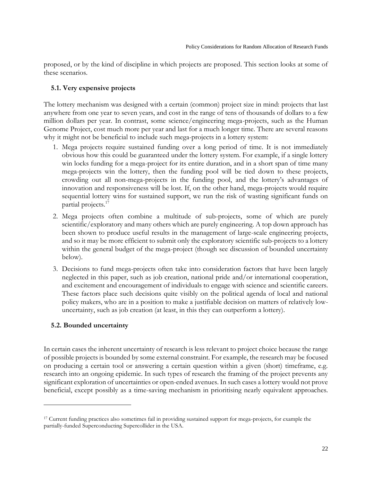proposed, or by the kind of discipline in which projects are proposed. This section looks at some of these scenarios.

## **5.1. Very expensive projects**

The lottery mechanism was designed with a certain (common) project size in mind: projects that last anywhere from one year to seven years, and cost in the range of tens of thousands of dollars to a few million dollars per year. In contrast, some science/engineering mega-projects, such as the Human Genome Project, cost much more per year and last for a much longer time. There are several reasons why it might not be beneficial to include such mega-projects in a lottery system:

- 1. Mega projects require sustained funding over a long period of time. It is not immediately obvious how this could be guaranteed under the lottery system. For example, if a single lottery win locks funding for a mega-project for its entire duration, and in a short span of time many mega-projects win the lottery, then the funding pool will be tied down to these projects, crowding out all non-mega-projects in the funding pool, and the lottery's advantages of innovation and responsiveness will be lost. If, on the other hand, mega-projects would require sequential lottery wins for sustained support, we run the risk of wasting significant funds on partial projects.<sup>17</sup>
- 2. Mega projects often combine a multitude of sub-projects, some of which are purely scientific/exploratory and many others which are purely engineering. A top down approach has been shown to produce useful results in the management of large-scale engineering projects, and so it may be more efficient to submit only the exploratory scientific sub-projects to a lottery within the general budget of the mega-project (though see discussion of bounded uncertainty below).
- 3. Decisions to fund mega-projects often take into consideration factors that have been largely neglected in this paper, such as job creation, national pride and/or international cooperation, and excitement and encouragement of individuals to engage with science and scientific careers. These factors place such decisions quite visibly on the political agenda of local and national policy makers, who are in a position to make a justifiable decision on matters of relatively lowuncertainty, such as job creation (at least, in this they can outperform a lottery).

# **5.2. Bounded uncertainty**

 $\overline{\phantom{a}}$ 

In certain cases the inherent uncertainty of research is less relevant to project choice because the range of possible projects is bounded by some external constraint. For example, the research may be focused on producing a certain tool or answering a certain question within a given (short) timeframe, e.g. research into an ongoing epidemic. In such types of research the framing of the project prevents any significant exploration of uncertainties or open-ended avenues. In such cases a lottery would not prove beneficial, except possibly as a time-saving mechanism in prioritising nearly equivalent approaches.

<sup>17</sup> Current funding practices also sometimes fail in providing sustained support for mega-projects, for example the partially-funded Superconducting Supercollider in the USA.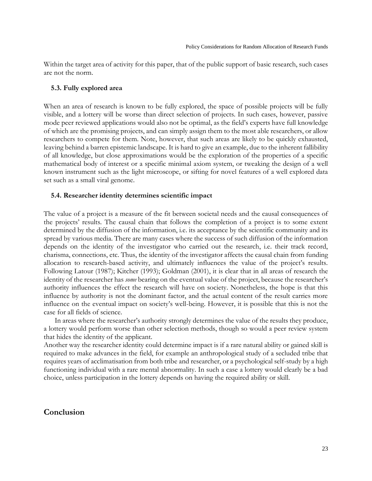Within the target area of activity for this paper, that of the public support of basic research, such cases are not the norm.

#### **5.3. Fully explored area**

When an area of research is known to be fully explored, the space of possible projects will be fully visible, and a lottery will be worse than direct selection of projects. In such cases, however, passive mode peer reviewed applications would also not be optimal, as the field's experts have full knowledge of which are the promising projects, and can simply assign them to the most able researchers, or allow researchers to compete for them. Note, however, that such areas are likely to be quickly exhausted, leaving behind a barren epistemic landscape. It is hard to give an example, due to the inherent fallibility of all knowledge, but close approximations would be the exploration of the properties of a specific mathematical body of interest or a specific minimal axiom system, or tweaking the design of a well known instrument such as the light microscope, or sifting for novel features of a well explored data set such as a small viral genome.

#### **5.4. Researcher identity determines scientific impact**

The value of a project is a measure of the fit between societal needs and the causal consequences of the projects' results. The causal chain that follows the completion of a project is to some extent determined by the diffusion of the information, i.e. its acceptance by the scientific community and its spread by various media. There are many cases where the success of such diffusion of the information depends on the identity of the investigator who carried out the research, i.e. their track record, charisma, connections, etc. Thus, the identity of the investigator affects the causal chain from funding allocation to research-based activity, and ultimately influences the value of the project's results. Following Latour (1987); Kitcher (1993); Goldman (2001), it is clear that in all areas of research the identity of the researcher has *some* bearing on the eventual value of the project, because the researcher's authority influences the effect the research will have on society. Nonetheless, the hope is that this influence by authority is not the dominant factor, and the actual content of the result carries more influence on the eventual impact on society's well-being. However, it is possible that this is not the case for all fields of science.

In areas where the researcher's authority strongly determines the value of the results they produce, a lottery would perform worse than other selection methods, though so would a peer review system that hides the identity of the applicant.

Another way the researcher identity could determine impact is if a rare natural ability or gained skill is required to make advances in the field, for example an anthropological study of a secluded tribe that requires years of acclimatisation from both tribe and researcher, or a psychological self-study by a high functioning individual with a rare mental abnormality. In such a case a lottery would clearly be a bad choice, unless participation in the lottery depends on having the required ability or skill.

## **Conclusion**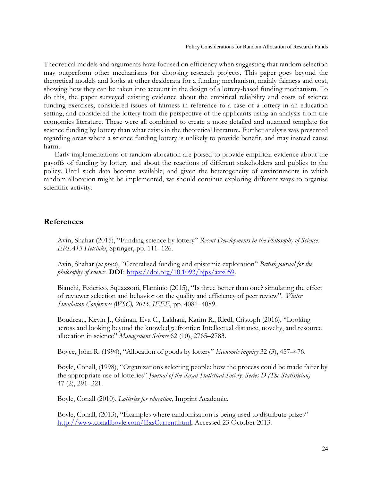Theoretical models and arguments have focused on efficiency when suggesting that random selection may outperform other mechanisms for choosing research projects. This paper goes beyond the theoretical models and looks at other desiderata for a funding mechanism, mainly fairness and cost, showing how they can be taken into account in the design of a lottery-based funding mechanism. To do this, the paper surveyed existing evidence about the empirical reliability and costs of science funding exercises, considered issues of fairness in reference to a case of a lottery in an education setting, and considered the lottery from the perspective of the applicants using an analysis from the economics literature. These were all combined to create a more detailed and nuanced template for science funding by lottery than what exists in the theoretical literature. Further analysis was presented regarding areas where a science funding lottery is unlikely to provide benefit, and may instead cause harm.

Early implementations of random allocation are poised to provide empirical evidence about the payoffs of funding by lottery and about the reactions of different stakeholders and publics to the policy. Until such data become available, and given the heterogeneity of environments in which random allocation might be implemented, we should continue exploring different ways to organise scientific activity.

## **References**

Avin, Shahar (2015), "Funding science by lottery" *Recent Developments in the Philosophy of Science: EPSA13 Helsinki*, Springer, pp. 111–126.

Avin, Shahar (*in press*), "Centralised funding and epistemic exploration" *British journal for the philosophy of science*. **DOI**: [https://doi.org/10.1093/bjps/axx059.](https://doi.org/10.1093/bjps/axx059)

Bianchi, Federico, Squazzoni, Flaminio (2015), "Is three better than one? simulating the effect of reviewer selection and behavior on the quality and efficiency of peer review". *Winter Simulation Conference (WSC), 2015. IEEE*, pp. 4081–4089.

Boudreau, Kevin J., Guinan, Eva C., Lakhani, Karim R., Riedl, Cristoph (2016), "Looking across and looking beyond the knowledge frontier: Intellectual distance, novelty, and resource allocation in science" *Management Science* 62 (10), 2765–2783.

Boyce, John R. (1994), "Allocation of goods by lottery" *Economic inquiry* 32 (3), 457–476.

Boyle, Conall, (1998), "Organizations selecting people: how the process could be made fairer by the appropriate use of lotteries" *Journal of the Royal Statistical Society: Series D (The Statistician)* 47 (2), 291–321.

Boyle, Conall (2010), *Lotteries for education*, Imprint Academic.

Boyle, Conall, (2013), "Examples where randomisation is being used to distribute prizes" [http://www.conallboyle.com/ExsCurrent.html,](http://www.conallboyle.com/ExsCurrent.html) Accessed 23 October 2013.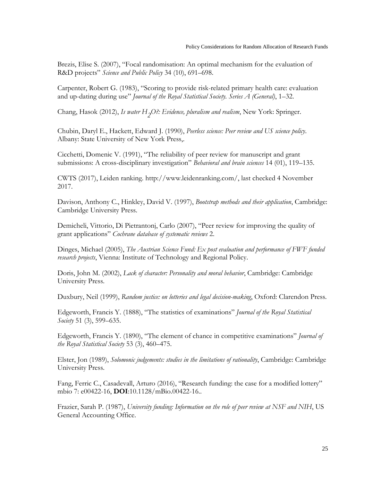Brezis, Elise S. (2007), "Focal randomisation: An optimal mechanism for the evaluation of R&D projects" *Science and Public Policy* 34 (10), 691–698.

Carpenter, Robert G. (1983), "Scoring to provide risk-related primary health care: evaluation and up-dating during use" *Journal of the Royal Statistical Society. Series A (General)*, 1–32.

Chang, Hasok (2012), *Is water H2 O?: Evidence, pluralism and realism*, New York: Springer.

Chubin, Daryl E., Hackett, Edward J. (1990), *Peerless science: Peer review and US science policy*. Albany: State University of New York Press,.

Cicchetti, Domenic V. (1991), "The reliability of peer review for manuscript and grant submissions: A cross-disciplinary investigation" *Behavioral and brain sciences* 14 (01), 119–135.

CWTS (2017), Leiden ranking. http://www.leidenranking.com/, last checked 4 November 2017.

Davison, Anthony C., Hinkley, David V. (1997), *Bootstrap methods and their application*, Cambridge: Cambridge University Press.

Demicheli, Vittorio, Di Pietrantonj, Carlo (2007), "Peer review for improving the quality of grant applications" *Cochrane database of systematic reviews* 2.

Dinges, Michael (2005), *The Austrian Science Fund: Ex post evaluation and performance of FWF funded research projects*, Vienna: Institute of Technology and Regional Policy.

Doris, John M. (2002), *Lack of character: Personality and moral behavior*, Cambridge: Cambridge University Press.

Duxbury, Neil (1999), *Random justice: on lotteries and legal decision-making*, Oxford: Clarendon Press.

Edgeworth, Francis Y. (1888), "The statistics of examinations" *Journal of the Royal Statistical Society* 51 (3), 599–635.

Edgeworth, Francis Y. (1890), "The element of chance in competitive examinations" *Journal of the Royal Statistical Society* 53 (3), 460–475.

Elster, Jon (1989), *Solomonic judgements: studies in the limitations of rationality*, Cambridge: Cambridge University Press.

Fang, Ferric C., Casadevall, Arturo (2016), "Research funding: the case for a modified lottery" mbio 7: e00422-16, **DOI**:10.1128/mBio.00422-16..

Frazier, Sarah P. (1987), *University funding: Information on the role of peer review at NSF and NIH*, US General Accounting Office.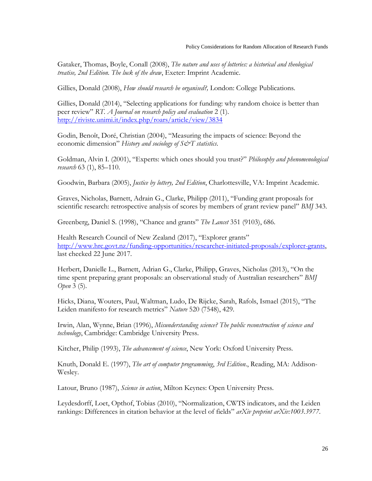Gataker, Thomas, Boyle, Conall (2008), *The nature and uses of lotteries: a historical and theological treatise, 2nd Edition. The luck of the draw*, Exeter: Imprint Academic.

Gillies, Donald (2008), *How should research be organised?,* London: College Publications.

Gillies, Donald (2014), "Selecting applications for funding: why random choice is better than peer review" *RT. A Journal on research policy and evaluation* 2 (1). <http://riviste.unimi.it/index.php/roars/article/view/3834>

Godin, Benoît, Doré, Christian (2004), "Measuring the impacts of science: Beyond the economic dimension" *History and sociology of S&T statistics*.

Goldman, Alvin I. (2001), "Experts: which ones should you trust?" *Philosophy and phenomenological research* 63 (1), 85–110.

Goodwin, Barbara (2005), *Justice by lottery, 2nd Edition*, Charlottesville, VA: Imprint Academic.

Graves, Nicholas, Barnett, Adrain G., Clarke, Philipp (2011), "Funding grant proposals for scientific research: retrospective analysis of scores by members of grant review panel" *BMJ* 343.

Greenberg, Daniel S. (1998), "Chance and grants" *The Lancet* 351 (9103), 686.

Health Research Council of New Zealand (2017), "Explorer grants" [http://www.hrc.govt.nz/funding-opportunities/researcher-initiated-proposals/explorer-grants,](http://www.hrc.govt.nz/funding-opportunities/researcher-initiated-proposals/explorer-grants) last checked 22 June 2017.

Herbert, Danielle L., Barnett, Adrian G., Clarke, Philipp, Graves, Nicholas (2013), "On the time spent preparing grant proposals: an observational study of Australian researchers" *BMJ Open* 3 (5).

Hicks, Diana, Wouters, Paul, Waltman, Ludo, De Rijcke, Sarah, Rafols, Ismael (2015), "The Leiden manifesto for research metrics" *Nature* 520 (7548), 429.

Irwin, Alan, Wynne, Brian (1996), *Misunderstanding science? The public reconstruction of science and technology*, Cambridge: Cambridge University Press.

Kitcher, Philip (1993), *The advancement of science*, New York: Oxford University Press.

Knuth, Donald E. (1997), *The art of computer programming*, *3rd Edition*., Reading, MA: Addison-Wesley.

Latour, Bruno (1987), *Science in action*, Milton Keynes: Open University Press.

Leydesdorff, Loet, Opthof, Tobias (2010), "Normalization, CWTS indicators, and the Leiden rankings: Differences in citation behavior at the level of fields" *arXiv preprint arXiv:1003.3977*.